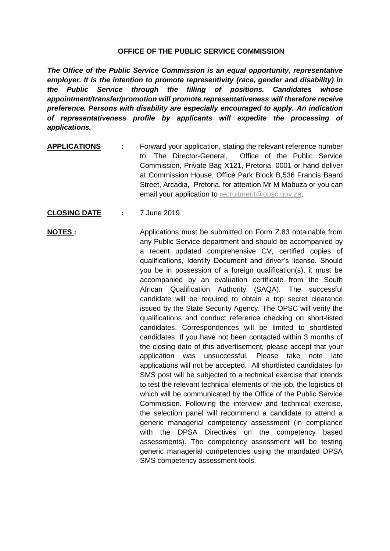## **OFFICE OF THE PUBLIC SERVICE COMMISSION**

*The Office of the Public Service Commission is an equal opportunity, representative employer. It is the intention to promote representivity (race, gender and disability) in the Public Service through the filling of positions. Candidates whose appointment/transfer/promotion will promote representativeness will therefore receive preference. Persons with disability are especially encouraged to apply. An indication of representativeness profile by applicants will expedite the processing of applications.*

- **APPLICATIONS :** Forward your application, stating the relevant reference number to: The Director-General, Office of the Public Service Commission, Private Bag X121, Pretoria, 0001 or hand-deliver at Commission House, Office Park Block B,536 Francis Baard Street, Arcadia, Pretoria, for attention Mr M Mabuza or you can email your application to recruitment@opsc.gov.za.
- **CLOSING DATE :** 7 June 2019

**NOTES :** Applications must be submitted on Form Z.83 obtainable from any Public Service department and should be accompanied by a recent updated comprehensive CV, certified copies of qualifications, Identity Document and driver's license. Should you be in possession of a foreign qualification(s), it must be accompanied by an evaluation certificate from the South African Qualification Authority (SAQA). The successful candidate will be required to obtain a top secret clearance issued by the State Security Agency. The OPSC will verify the qualifications and conduct reference checking on short-listed candidates. Correspondences will be limited to shortlisted candidates. If you have not been contacted within 3 months of the closing date of this advertisement, please accept that your application was unsuccessful. Please take note late applications will not be accepted. All shortlisted candidates for SMS post will be subjected to a technical exercise that intends to test the relevant technical elements of the job, the logistics of which will be communicated by the Office of the Public Service Commission. Following the interview and technical exercise, the selection panel will recommend a candidate to attend a generic managerial competency assessment (in compliance with the DPSA Directives on the competency based assessments). The competency assessment will be testing generic managerial competencies using the mandated DPSA SMS competency assessment tools.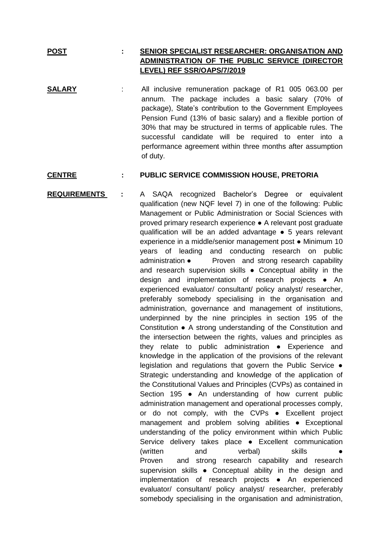## **POST : SENIOR SPECIALIST RESEARCHER: ORGANISATION AND ADMINISTRATION OF THE PUBLIC SERVICE (DIRECTOR LEVEL) REF SSR/OAPS/7/2019**

**SALARY** : All inclusive remuneration package of R1 005 063.00 per annum. The package includes a basic salary (70% of package), State's contribution to the Government Employees Pension Fund (13% of basic salary) and a flexible portion of 30% that may be structured in terms of applicable rules. The successful candidate will be required to enter into a performance agreement within three months after assumption of duty.

## **CENTRE : PUBLIC SERVICE COMMISSION HOUSE, PRETORIA**

**REQUIREMENTS :** A SAQA recognized Bachelor's Degree or equivalent qualification (new NQF level 7) in one of the following: Public Management or Public Administration or Social Sciences with proved primary research experience ● A relevant post graduate qualification will be an added advantage ● 5 years relevant experience in a middle/senior management post ● Minimum 10 years of leading and conducting research on public administration • Proven and strong research capability and research supervision skills • Conceptual ability in the design and implementation of research projects ● An experienced evaluator/ consultant/ policy analyst/ researcher, preferably somebody specialising in the organisation and administration, governance and management of institutions, underpinned by the nine principles in section 195 of the Constitution ● A strong understanding of the Constitution and the intersection between the rights, values and principles as they relate to public administration ● Experience and knowledge in the application of the provisions of the relevant legislation and regulations that govern the Public Service ● Strategic understanding and knowledge of the application of the Constitutional Values and Principles (CVPs) as contained in Section 195 ● An understanding of how current public administration management and operational processes comply, or do not comply, with the CVPs ● Excellent project management and problem solving abilities ● Exceptional understanding of the policy environment within which Public Service delivery takes place ● Excellent communication (written and verbal) skills Proven and strong research capability and research supervision skills • Conceptual ability in the design and implementation of research projects ● An experienced evaluator/ consultant/ policy analyst/ researcher, preferably somebody specialising in the organisation and administration,